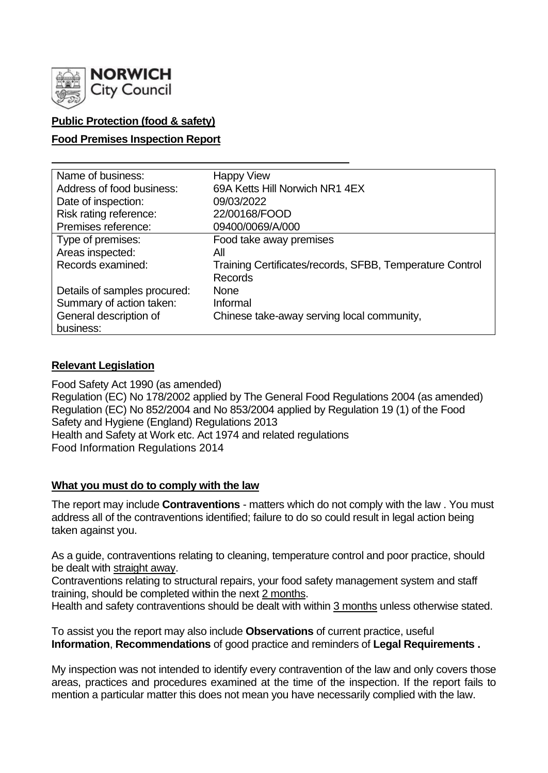

# **Public Protection (food & safety)**

### **Food Premises Inspection Report**

| Name of business:            | <b>Happy View</b>                                        |
|------------------------------|----------------------------------------------------------|
| Address of food business:    | 69A Ketts Hill Norwich NR1 4EX                           |
| Date of inspection:          | 09/03/2022                                               |
| Risk rating reference:       | 22/00168/FOOD                                            |
| Premises reference:          | 09400/0069/A/000                                         |
| Type of premises:            | Food take away premises                                  |
| Areas inspected:             | All                                                      |
| Records examined:            | Training Certificates/records, SFBB, Temperature Control |
|                              | Records                                                  |
| Details of samples procured: | <b>None</b>                                              |
| Summary of action taken:     | Informal                                                 |
| General description of       | Chinese take-away serving local community,               |
| business:                    |                                                          |

## **Relevant Legislation**

Food Safety Act 1990 (as amended) Regulation (EC) No 178/2002 applied by The General Food Regulations 2004 (as amended) Regulation (EC) No 852/2004 and No 853/2004 applied by Regulation 19 (1) of the Food Safety and Hygiene (England) Regulations 2013 Health and Safety at Work etc. Act 1974 and related regulations Food Information Regulations 2014

### **What you must do to comply with the law**

The report may include **Contraventions** - matters which do not comply with the law . You must address all of the contraventions identified; failure to do so could result in legal action being taken against you.

As a guide, contraventions relating to cleaning, temperature control and poor practice, should be dealt with straight away.

Contraventions relating to structural repairs, your food safety management system and staff training, should be completed within the next 2 months.

Health and safety contraventions should be dealt with within 3 months unless otherwise stated.

To assist you the report may also include **Observations** of current practice, useful **Information**, **Recommendations** of good practice and reminders of **Legal Requirements .**

My inspection was not intended to identify every contravention of the law and only covers those areas, practices and procedures examined at the time of the inspection. If the report fails to mention a particular matter this does not mean you have necessarily complied with the law.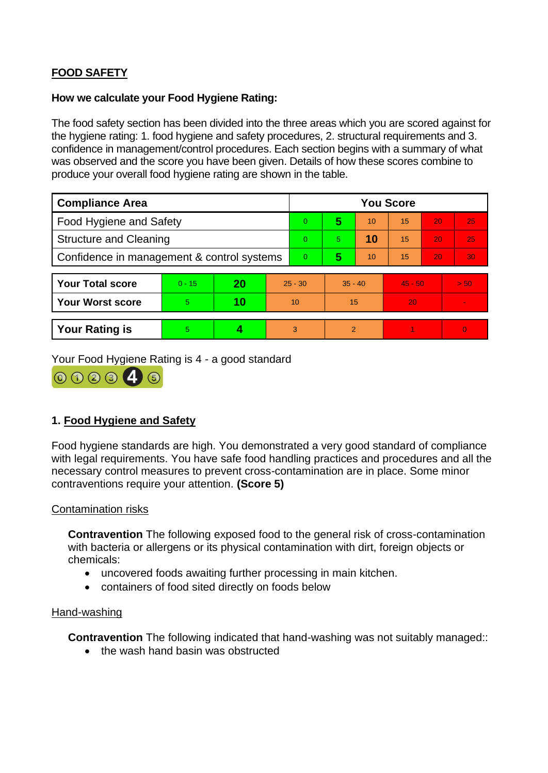# **FOOD SAFETY**

### **How we calculate your Food Hygiene Rating:**

The food safety section has been divided into the three areas which you are scored against for the hygiene rating: 1. food hygiene and safety procedures, 2. structural requirements and 3. confidence in management/control procedures. Each section begins with a summary of what was observed and the score you have been given. Details of how these scores combine to produce your overall food hygiene rating are shown in the table.

| <b>Compliance Area</b>                     |          |    |                | <b>You Score</b> |           |    |           |    |          |  |  |
|--------------------------------------------|----------|----|----------------|------------------|-----------|----|-----------|----|----------|--|--|
| Food Hygiene and Safety                    |          |    |                | $\overline{0}$   | 5         | 10 | 15        | 20 | 25       |  |  |
| <b>Structure and Cleaning</b>              |          |    |                | $\overline{0}$   | 5         | 10 | 15        | 20 | 25       |  |  |
| Confidence in management & control systems |          |    | $\overline{0}$ | 5                | 10        | 15 | 20        | 30 |          |  |  |
|                                            |          |    |                |                  |           |    |           |    |          |  |  |
| <b>Your Total score</b>                    | $0 - 15$ | 20 | $25 - 30$      |                  | $35 - 40$ |    | $45 - 50$ |    | > 50     |  |  |
| <b>Your Worst score</b>                    | 5        | 10 | 10             |                  | 15        |    | 20        |    |          |  |  |
|                                            |          |    |                |                  |           |    |           |    |          |  |  |
| <b>Your Rating is</b>                      | 5        | 4  |                | 3                | 2         |    |           |    | $\Omega$ |  |  |

Your Food Hygiene Rating is 4 - a good standard



## **1. Food Hygiene and Safety**

Food hygiene standards are high. You demonstrated a very good standard of compliance with legal requirements. You have safe food handling practices and procedures and all the necessary control measures to prevent cross-contamination are in place. Some minor contraventions require your attention. **(Score 5)**

### Contamination risks

**Contravention** The following exposed food to the general risk of cross-contamination with bacteria or allergens or its physical contamination with dirt, foreign objects or chemicals:

- uncovered foods awaiting further processing in main kitchen.
- containers of food sited directly on foods below

### Hand-washing

**Contravention** The following indicated that hand-washing was not suitably managed::

• the wash hand basin was obstructed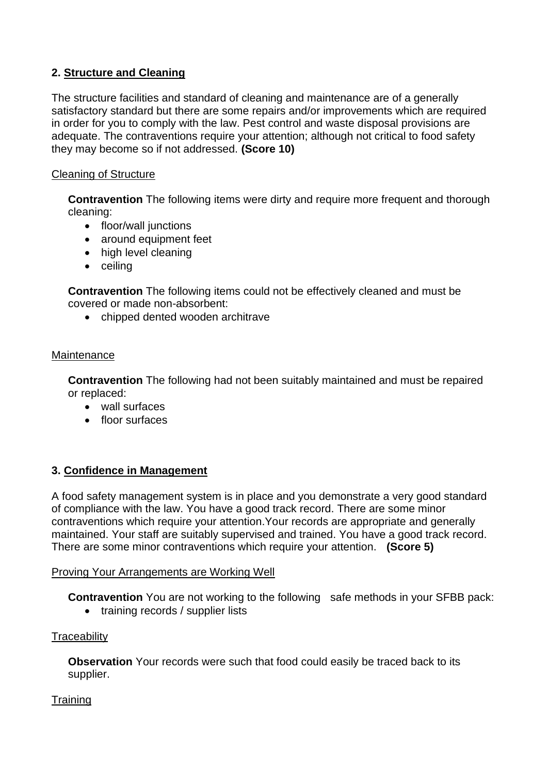# **2. Structure and Cleaning**

The structure facilities and standard of cleaning and maintenance are of a generally satisfactory standard but there are some repairs and/or improvements which are required in order for you to comply with the law. Pest control and waste disposal provisions are adequate. The contraventions require your attention; although not critical to food safety they may become so if not addressed. **(Score 10)**

## Cleaning of Structure

**Contravention** The following items were dirty and require more frequent and thorough cleaning:

- floor/wall junctions
- around equipment feet
- high level cleaning
- ceiling

**Contravention** The following items could not be effectively cleaned and must be covered or made non-absorbent:

• chipped dented wooden architrave

### **Maintenance**

**Contravention** The following had not been suitably maintained and must be repaired or replaced:

- wall surfaces
- floor surfaces

## **3. Confidence in Management**

A food safety management system is in place and you demonstrate a very good standard of compliance with the law. You have a good track record. There are some minor contraventions which require your attention.Your records are appropriate and generally maintained. Your staff are suitably supervised and trained. You have a good track record. There are some minor contraventions which require your attention. **(Score 5)**

### Proving Your Arrangements are Working Well

**Contravention** You are not working to the following safe methods in your SFBB pack:

• training records / supplier lists

### **Traceability**

**Observation** Your records were such that food could easily be traced back to its supplier.

### **Training**